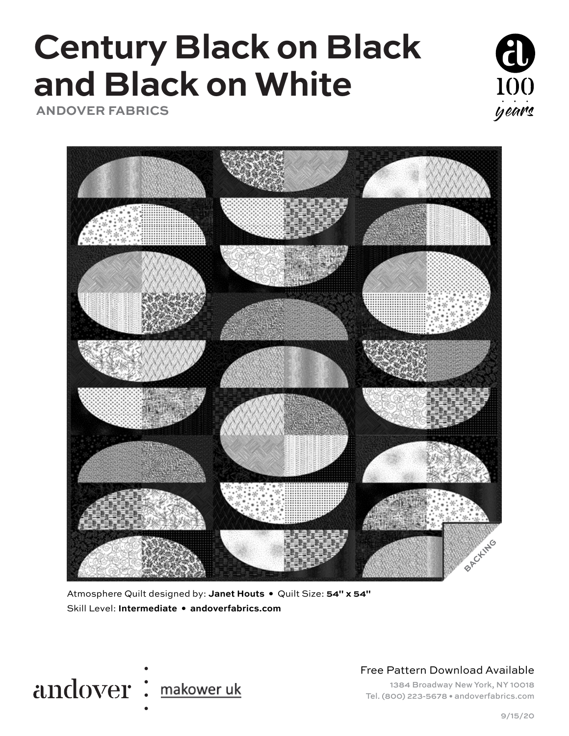# **Century Black on Black and Black on White**

 **ANDOVER FABRICS**





Atmosphere Quilt designed by: **Janet Houts •** Quilt Size: **54" x 54"** Skill Level: **Intermediate • andoverfabrics.com**



Free Pattern Download Available

1384 Broadway New York, NY 10018 Tel. (800) 223-5678 • andoverfabrics.com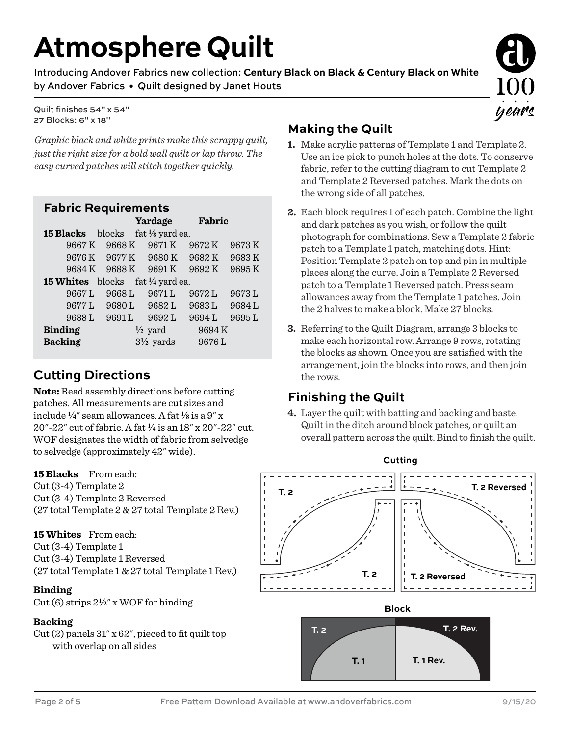## **Atmosphere Quilt**

Introducing Andover Fabrics new collection: **Century Black on Black & Century Black on White** by Andover Fabrics • Quilt designed by Janet Houts

Quilt finishes 54" x 54" 27 Blocks: 6" x 18"

*Graphic black and white prints make this scrappy quilt, just the right size for a bold wall quilt or lap throw. The easy curved patches will stitch together quickly.* 

#### **Fabric Requirements**

|                                             |               | Yardage                    | Fabric |       |
|---------------------------------------------|---------------|----------------------------|--------|-------|
| <b>15 Blacks</b>                            | blocks        | fat $\frac{1}{8}$ yard ea. |        |       |
| 9667 K                                      | 9668K         | 9671K                      | 9672 K | 9673K |
|                                             | 9676 K 9677 K | 9680K                      | 9682K  | 9683K |
| 9684 K                                      | 9688K         | 9691K                      | 9692K  | 9695K |
| <b>15 Whites</b><br>blocks fat 1/4 yard ea. |               |                            |        |       |
| 9667L                                       | 9668L         | 9671L                      | 9672 L | 9673L |
| 9677L                                       | 9680L         | 9682L                      | 9683L  | 9684L |
| 9688L                                       | 9691L         | 9692L                      | 9694L  | 9695L |
| <b>Binding</b>                              |               | $\frac{1}{2}$ yard         | 9694K  |       |
| <b>Backing</b>                              |               | $3\frac{1}{2}$ yards       | 9676L  |       |

### **Cutting Directions**

**Note:** Read assembly directions before cutting patches. All measurements are cut sizes and include  $\frac{1}{4}$ " seam allowances. A fat  $\frac{1}{8}$  is a  $9''$  x 20"-22" cut of fabric. A fat **4** is an 18" x 20"-22" cut. WOF designates the width of fabric from selvedge to selvedge (approximately 42" wide).

**15 Blacks** From each: Cut (3-4) Template 2 Cut (3-4) Template 2 Reversed (27 total Template 2 & 27 total Template 2 Rev.)

**15 Whites** From each: Cut (3-4) Template 1 Cut (3-4) Template 1 Reversed (27 total Template 1 & 27 total Template 1 Rev.)

**Binding** Cut (6) strips 2**2**" x WOF for binding

#### **Backing**

Cut (2) panels 31" x 62", pieced to fit quilt top with overlap on all sides

## **Making the Quilt**

**1.** Make acrylic patterns of Template 1 and Template 2. Use an ice pick to punch holes at the dots. To conserve fabric, refer to the cutting diagram to cut Template 2 and Template 2 Reversed patches. Mark the dots on the wrong side of all patches.

years

- **2.** Each block requires 1 of each patch. Combine the light and dark patches as you wish, or follow the quilt photograph for combinations. Sew a Template 2 fabric patch to a Template 1 patch, matching dots. Hint: Position Template 2 patch on top and pin in multiple places along the curve. Join a Template 2 Reversed patch to a Template 1 Reversed patch. Press seam allowances away from the Template 1 patches. Join the 2 halves to make a block. Make 27 blocks.
- **3.** Referring to the Quilt Diagram, arrange 3 blocks to make each horizontal row. Arrange 9 rows, rotating the blocks as shown. Once you are satisfied with the arrangement, join the blocks into rows, and then join the rows.

### **Finishing the Quilt**

**4.** Layer the quilt with batting and backing and baste. Quilt in the ditch around block patches, or quilt an overall pattern across the quilt. Bind to finish the quilt.

**Cutting**



**T. 1 Rev.**

**T. 1**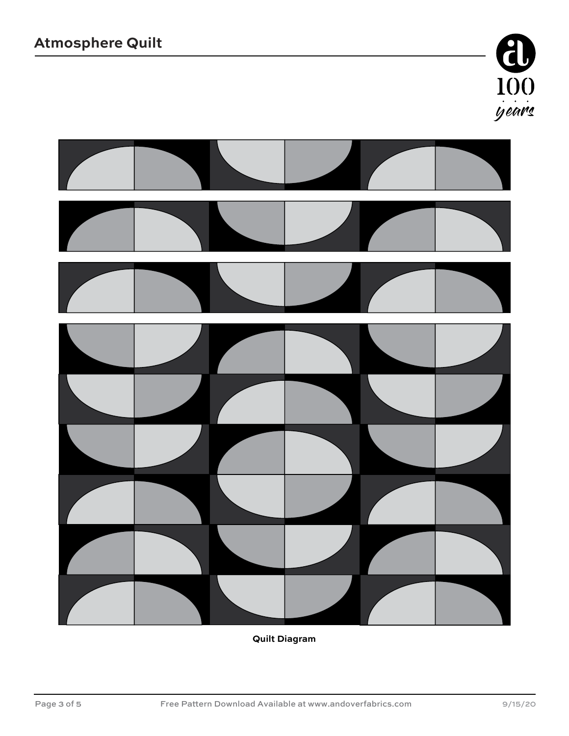



**Quilt Diagram**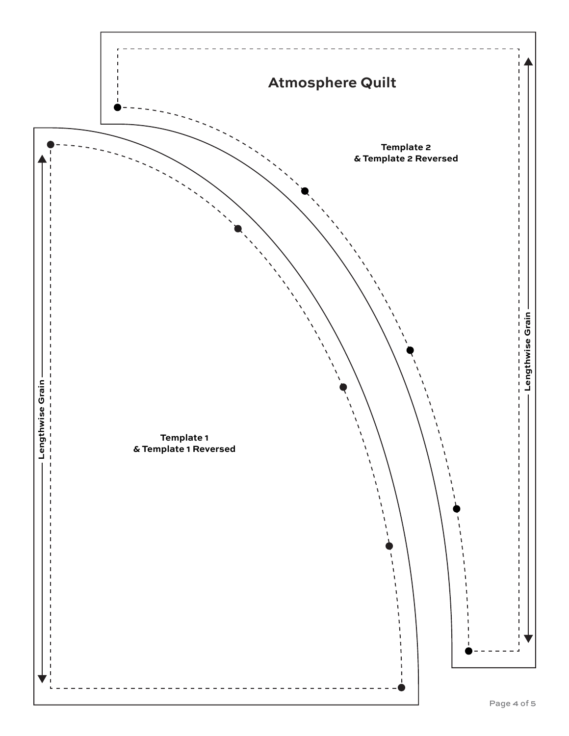